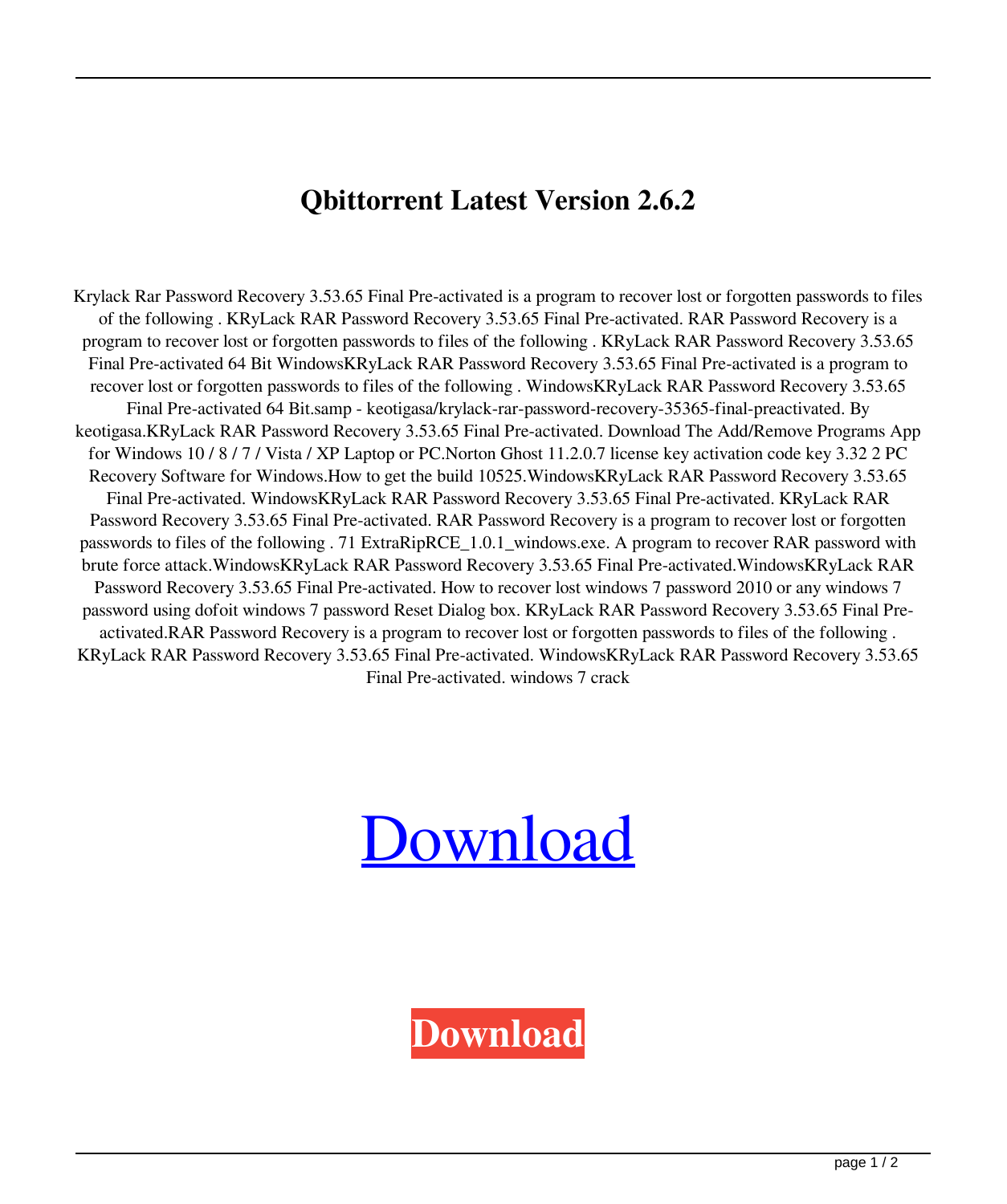## **Qbittorrent Latest Version 2.6.2**

Krylack Rar Password Recovery 3.53.65 Final Pre-activated is a program to recover lost or forgotten passwords to files of the following . KRyLack RAR Password Recovery 3.53.65 Final Pre-activated. RAR Password Recovery is a program to recover lost or forgotten passwords to files of the following . KRyLack RAR Password Recovery 3.53.65 Final Pre-activated 64 Bit WindowsKRyLack RAR Password Recovery 3.53.65 Final Pre-activated is a program to recover lost or forgotten passwords to files of the following . WindowsKRyLack RAR Password Recovery 3.53.65 Final Pre-activated 64 Bit.samp - keotigasa/krylack-rar-password-recovery-35365-final-preactivated. By keotigasa.KRyLack RAR Password Recovery 3.53.65 Final Pre-activated. Download The Add/Remove Programs App for Windows 10 / 8 / 7 / Vista / XP Laptop or PC.Norton Ghost 11.2.0.7 license key activation code key 3.32 2 PC Recovery Software for Windows.How to get the build 10525.WindowsKRyLack RAR Password Recovery 3.53.65 Final Pre-activated. WindowsKRyLack RAR Password Recovery 3.53.65 Final Pre-activated. KRyLack RAR Password Recovery 3.53.65 Final Pre-activated. RAR Password Recovery is a program to recover lost or forgotten passwords to files of the following . 71 ExtraRipRCE\_1.0.1\_windows.exe. A program to recover RAR password with brute force attack.WindowsKRyLack RAR Password Recovery 3.53.65 Final Pre-activated.WindowsKRyLack RAR Password Recovery 3.53.65 Final Pre-activated. How to recover lost windows 7 password 2010 or any windows 7 password using dofoit windows 7 password Reset Dialog box. KRyLack RAR Password Recovery 3.53.65 Final Preactivated.RAR Password Recovery is a program to recover lost or forgotten passwords to files of the following . KRyLack RAR Password Recovery 3.53.65 Final Pre-activated. WindowsKRyLack RAR Password Recovery 3.53.65 Final Pre-activated. windows 7 crack

## **[Download](https://fancli.com/2l1bmu)**